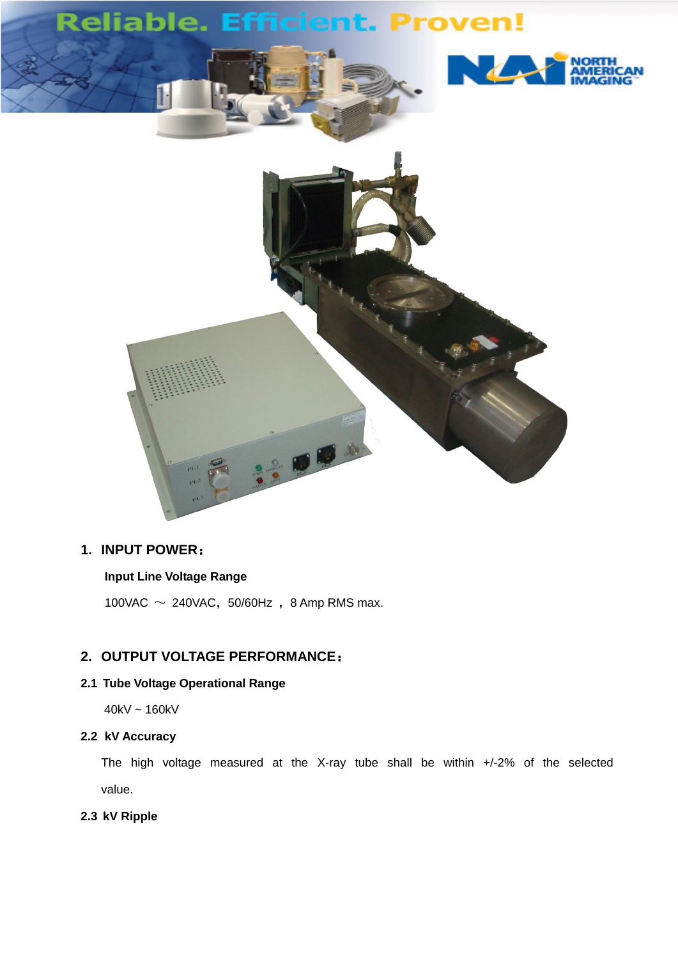

# **1. INPUT POWER**:

### **Input Line Voltage Range**

100VAC  $\sim$  240VAC, 50/60Hz, 8 Amp RMS max.

## **2. OUTPUT VOLTAGE PERFORMANCE**:

## **2.1 Tube Voltage Operational Range**

40kV ~ 160kV

#### **2.2 kV Accuracy**

The high voltage measured at the X-ray tube shall be within +/-2% of the selected value.

#### **2.3 kV Ripple**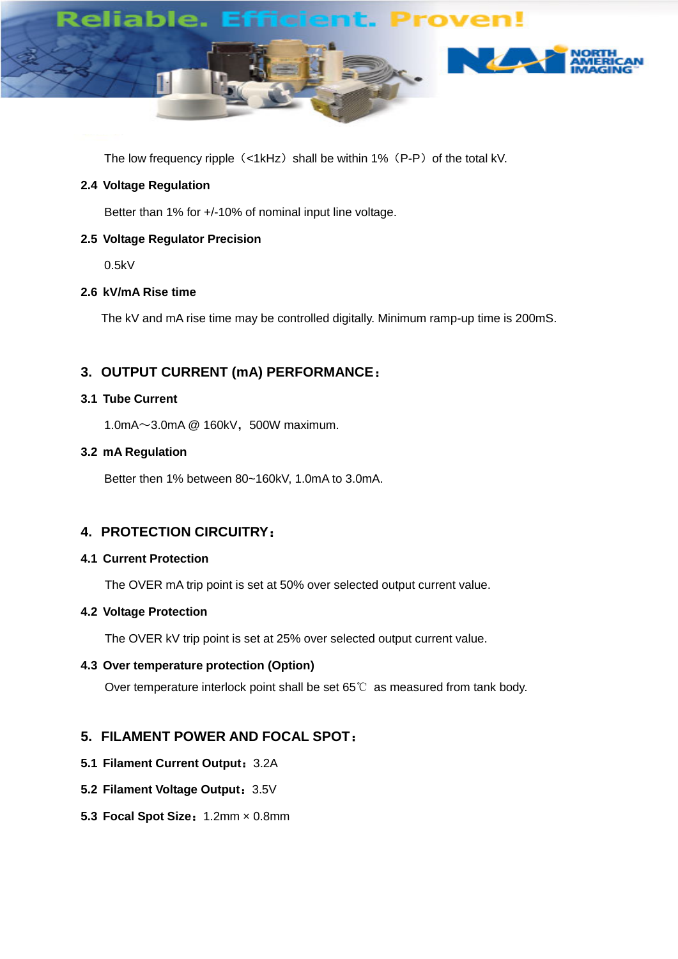

The low frequency ripple (<1kHz) shall be within 1% (P-P) of the total kV.

### **2.4 Voltage Regulation**

Better than 1% for +/-10% of nominal input line voltage.

### **2.5 Voltage Regulator Precision**

0.5kV

## **2.6 kV/mA Rise time**

The kV and mA rise time may be controlled digitally. Minimum ramp-up time is 200mS.

## **3. OUTPUT CURRENT (mA) PERFORMANCE**:

#### **3.1 Tube Current**

1.0mA $\sim$ 3.0mA @ 160kV, 500W maximum.

#### **3.2 mA Regulation**

Better then 1% between 80~160kV, 1.0mA to 3.0mA.

## **4. PROTECTION CIRCUITRY**:

#### **4.1 Current Protection**

The OVER mA trip point is set at 50% over selected output current value.

#### **4.2 Voltage Protection**

The OVER kV trip point is set at 25% over selected output current value.

## **4.3 Over temperature protection (Option)**

Over temperature interlock point shall be set 65℃ as measured from tank body.

## **5. FILAMENT POWER AND FOCAL SPOT**:

- **5.1 Filament Current Output**:3.2A
- **5.2 Filament Voltage Output: 3.5V**
- **5.3 Focal Spot Size**:1.2mm ×0.8mm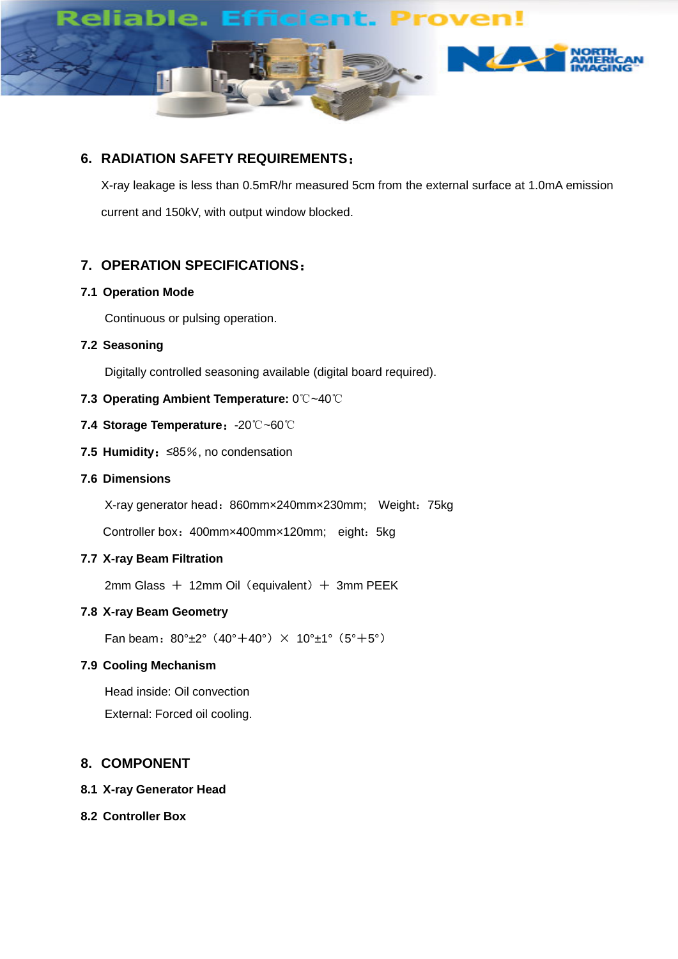

上海超群无利

## **6. RADIATION SAFETY REQUIREMENTS**:

X-ray leakage is less than 0.5mR/hr measured 5cm from the external surface at 1.0mA emission current and 150kV, with output window blocked.

**SHANGHAI ADVANCED NDT EQUIPMENT CO., LTD SAXG1603 Series**

## **7. OPERATION SPECIFICATIONS**:

#### **7.1 Operation Mode**

Continuous or pulsing operation.

**7.2 Seasoning**

Digitally controlled seasoning available (digital board required).

#### **7.3 Operating Ambient Temperature:** 0℃~40℃

- **7.4 Storage Temperature**:-20℃~60℃
- **7.5 Humidity**:≤85%, no condensation
- **7.6 Dimensions**

X-ray generator head: 860mmx240mmx230mm; Weight: 75kg

Controller box: 400mm×400mm×120mm; eight: 5kg

## **7.7 X-ray Beam Filtration**

 $2mm$  Glass  $+$  12mm Oil (equivalent)  $+$  3mm PEEK

#### **7.8 X-ray Beam Geometry**

Fan beam:  $80^{\circ}$ ±2° (40°+40°)  $\times$  10°±1° (5°+5°)

#### **7.9 Cooling Mechanism**

Head inside: Oil convection External: Forced oil cooling.

#### **8. COMPONENT**

#### **8.1 X-ray Generator Head**

## **8.2 Controller Box**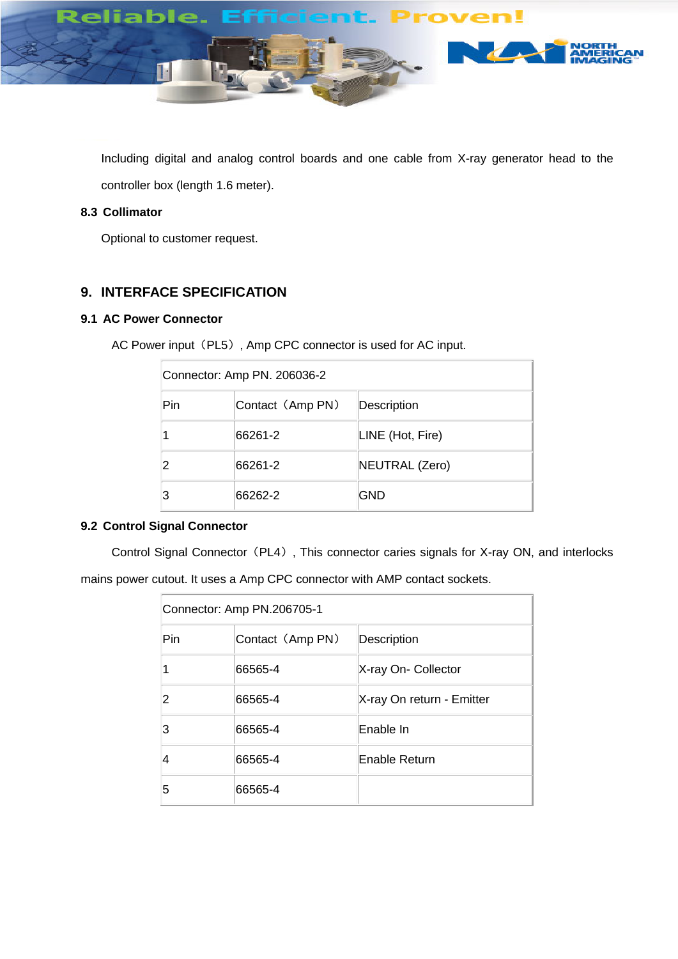

Including digital and analog control boards and one cable from X-ray generator head to the controller box (length 1.6 meter).

## **8.3 Collimator**

Optional to customer request.

## **9. INTERFACE SPECIFICATION**

## **9.1 AC Power Connector**

AC Power input (PL5), Amp CPC connector is used for AC input.

| Connector: Amp PN. 206036-2 |                  |                  |
|-----------------------------|------------------|------------------|
| Pin                         | Contact (Amp PN) | Description      |
|                             | 66261-2          | LINE (Hot, Fire) |
|                             | 66261-2          | NEUTRAL (Zero)   |
|                             | 66262-2          | GND              |

#### **9.2 Control Signal Connector**

Control Signal Connector (PL4), This connector caries signals for X-ray ON, and interlocks

mains power cutout. It uses a Amp CPC connector with AMP contact sockets.

| Connector: Amp PN.206705-1 |                  |                           |  |
|----------------------------|------------------|---------------------------|--|
| Pin                        | Contact (Amp PN) | Description               |  |
|                            | 66565-4          | X-ray On- Collector       |  |
| 2                          | 66565-4          | X-ray On return - Emitter |  |
| 3                          | 66565-4          | Enable In                 |  |
| 4                          | 66565-4          | Enable Return             |  |
| 5                          | 66565-4          |                           |  |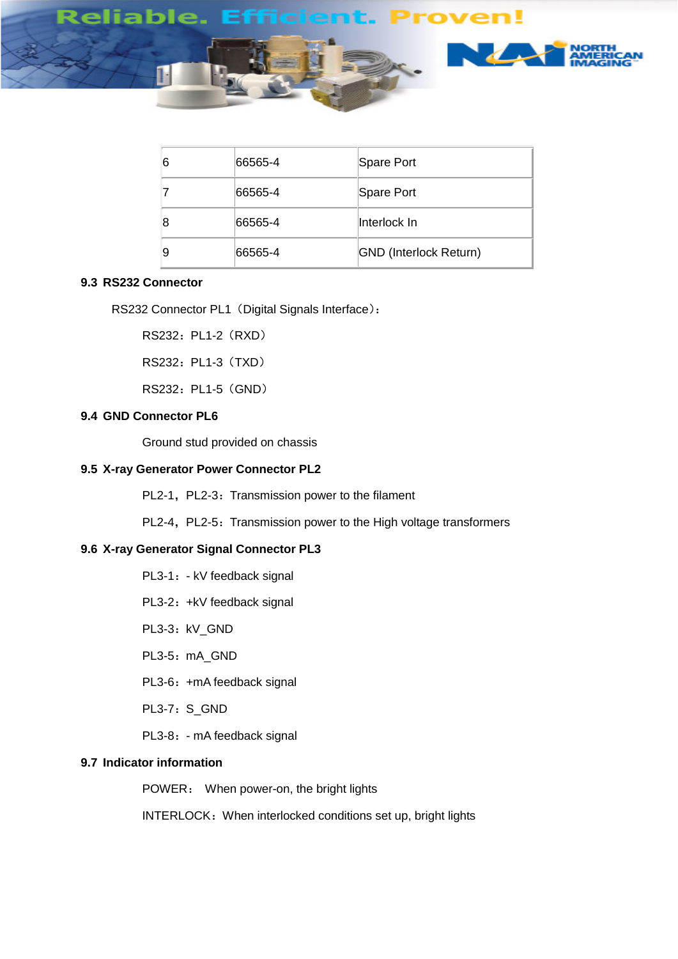

| 6 | 66565-4 | Spare Port                    |
|---|---------|-------------------------------|
|   | 66565-4 | Spare Port                    |
| 8 | 66565-4 | llnterlock In                 |
| 9 | 66565-4 | <b>GND</b> (Interlock Return) |

## **9.3 RS232 Connector**

RS232 Connector PL1 (Digital Signals Interface):

RS232: PL1-2 (RXD)

RS232: PL1-3 (TXD)

RS232: PL1-5 (GND)

## **9.4 GND Connector PL6**

Ground stud provided on chassis

#### **9.5 X-ray Generator Power Connector PL2**

PL2-1, PL2-3: Transmission power to the filament

PL2-4, PL2-5: Transmission power to the High voltage transformers

#### **9.6 X-ray Generator Signal Connector PL3**

- PL3-1: kV feedback signal
- PL3-2: +kV feedback signal
- PL3-3:kV\_GND
- PL3-5: mA\_GND
- PL3-6: +mA feedback signal
- PL3-7: S\_GND
- PL3-8: mA feedback signal

#### **9.7 Indicator information**

POWER: When power-on, the bright lights

INTERLOCK: When interlocked conditions set up, bright lights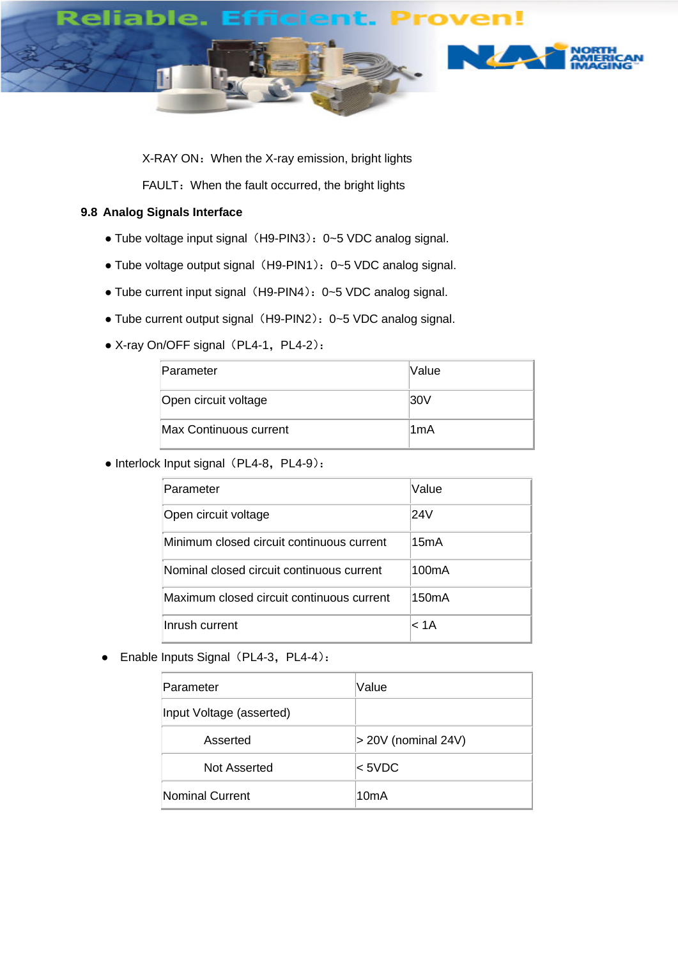

X-RAY ON: When the X-ray emission, bright lights

FAULT: When the fault occurred, the bright lights

## **9.8 Analog Signals Interface**

- Tube voltage input signal (H9-PIN3): 0~5 VDC analog signal.
- Tube voltage output signal (H9-PIN1): 0~5 VDC analog signal.
- Tube current input signal (H9-PIN4): 0~5 VDC analog signal.
- Tube current output signal (H9-PIN2): 0~5 VDC analog signal.
- X-ray On/OFF signal (PL4-1, PL4-2):

| Parameter                     | lValue |
|-------------------------------|--------|
| Open circuit voltage          | 30V    |
| <b>Max Continuous current</b> | ∣1mA   |

• Interlock Input signal (PL4-8, PL4-9):

| Parameter                                 | Value              |
|-------------------------------------------|--------------------|
| Open circuit voltage                      | 24V                |
| Minimum closed circuit continuous current | 15mA               |
| Nominal closed circuit continuous current | 100 <sub>m</sub> A |
| Maximum closed circuit continuous current | 150 <sub>m</sub> A |
| Inrush current                            | < 1A               |

● Enable Inputs Signal (PL4-3, PL4-4):

| Parameter                | Value                 |
|--------------------------|-----------------------|
| Input Voltage (asserted) |                       |
| Asserted                 | $> 20V$ (nominal 24V) |
| Not Asserted             | $<$ 5VDC              |
| <b>Nominal Current</b>   | 10 <sub>m</sub> A     |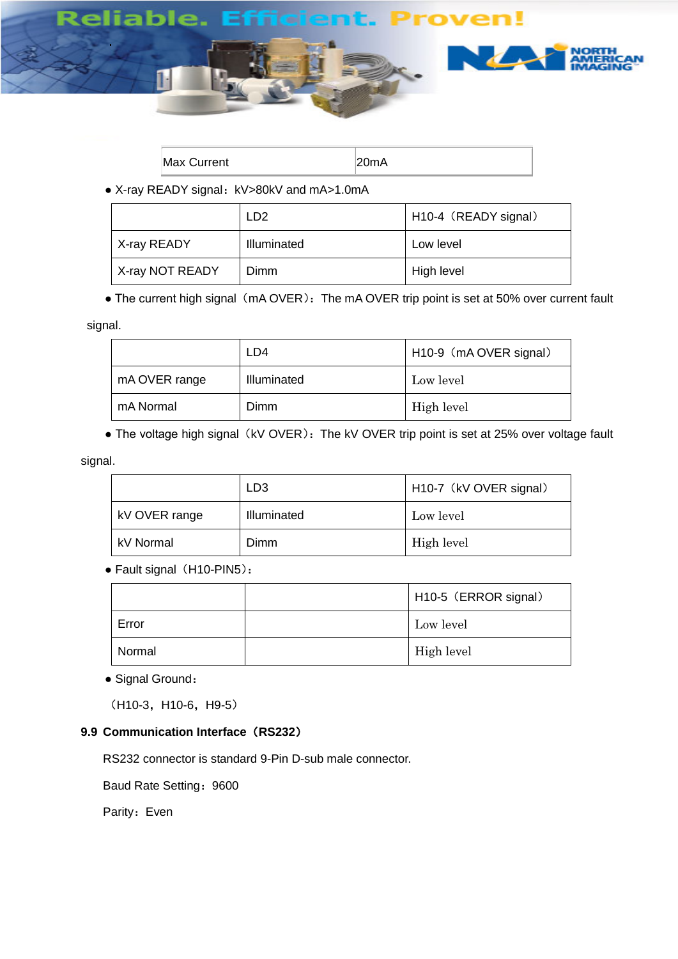

| <b>Max Current</b> |  |
|--------------------|--|
|--------------------|--|

• X-ray READY signal: kV>80kV and mA>1.0mA

|                 | LD <sub>2</sub> | H10-4 (READY signal) |
|-----------------|-----------------|----------------------|
| X-ray READY     | Illuminated     | Low level            |
| X-ray NOT READY | Dimm            | High level           |

• The current high signal (mA OVER): The mA OVER trip point is set at 50% over current fault

signal.

|               | LD4         | H10-9 (mA OVER signal) |
|---------------|-------------|------------------------|
| mA OVER range | Illuminated | Low level              |
| mA Normal     | Dimm        | High level             |

• The voltage high signal (kV OVER): The kV OVER trip point is set at 25% over voltage fault

signal.

|               | LD3         | H <sub>10</sub> -7 (kV OVER signal) |
|---------------|-------------|-------------------------------------|
| kV OVER range | Illuminated | Low level                           |
| kV Normal     | Dimm        | High level                          |

• Fault signal (H10-PIN5):

|        | H10-5 (ERROR signal) |
|--------|----------------------|
| Error  | Low level            |
| Normal | High level           |

• Signal Ground:

(H10-3, H10-6, H9-5)

## **9.9 Communication Interface**(**RS232**)

RS232 connector is standard 9-Pin D-sub male connector.

Baud Rate Setting: 9600

Parity: Even